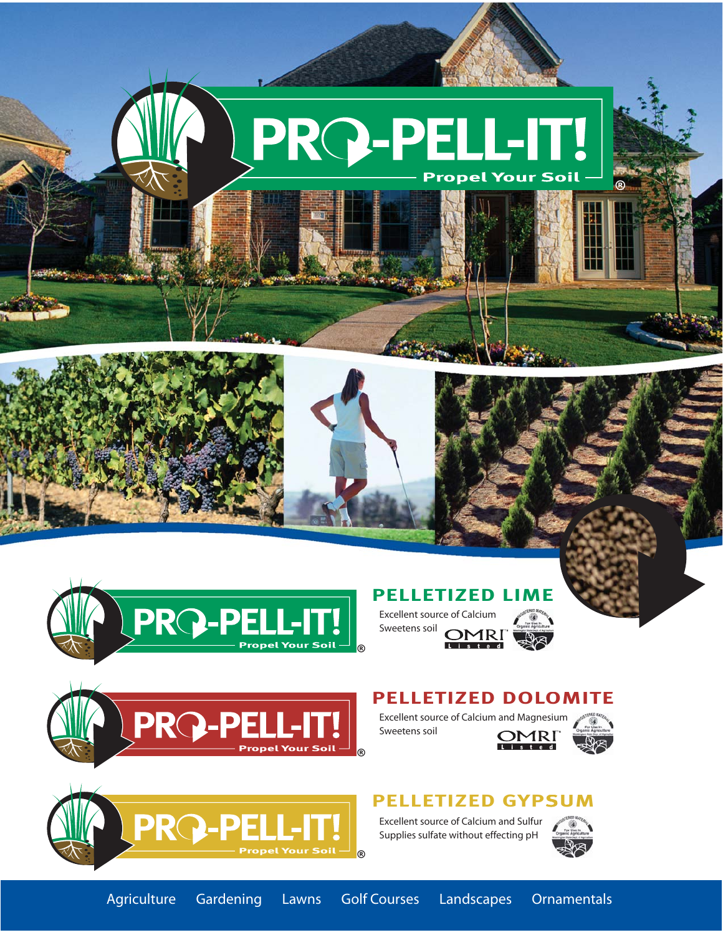





## **PELLETIZED LIME**

Excellent source of Calcium Sweetens soil **OMRI** 





### **PELLETIZED DOLOMITE**

Excellent source of Calcium and Magnesium Sweetens soil **OMRI** 



**®**



### **PELLETIZED GYPSUM**

Excellent source of Calcium and Sulfur Supplies sulfate without effecting pH